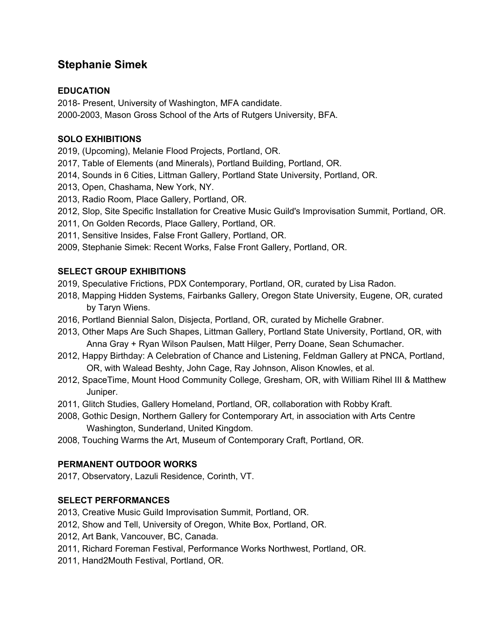# **Stephanie Simek**

## **EDUCATION**

2018- Present, University of Washington, MFA candidate. 2000-2003, Mason Gross School of the Arts of Rutgers University, BFA.

## **SOLO EXHIBITIONS**

2019, (Upcoming), Melanie Flood Projects, Portland, OR.

- 2017, Table of Elements (and Minerals), Portland Building, Portland, OR.
- 2014, Sounds in 6 Cities, Littman Gallery, Portland State University, Portland, OR.
- 2013, Open, Chashama, New York, NY.
- 2013, Radio Room, Place Gallery, Portland, OR.
- 2012, Slop, Site Specific Installation for Creative Music Guild's Improvisation Summit, Portland, OR.
- 2011, On Golden Records, Place Gallery, Portland, OR.
- 2011, Sensitive Insides, False Front Gallery, Portland, OR.
- 2009, Stephanie Simek: Recent Works, False Front Gallery, Portland, OR.

### **SELECT GROUP EXHIBITIONS**

- 2019, Speculative Frictions, PDX Contemporary, Portland, OR, curated by Lisa Radon.
- 2018, Mapping Hidden Systems, Fairbanks Gallery, Oregon State University, Eugene, OR, curated by Taryn Wiens.
- 2016, Portland Biennial Salon, Disjecta, Portland, OR, curated by Michelle Grabner.
- 2013, Other Maps Are Such Shapes, Littman Gallery, Portland State University, Portland, OR, with Anna Gray + Ryan Wilson Paulsen, Matt Hilger, Perry Doane, Sean Schumacher.
- 2012, Happy Birthday: A Celebration of Chance and Listening, Feldman Gallery at PNCA, Portland, OR, with Walead Beshty, John Cage, Ray Johnson, Alison Knowles, et al.
- 2012, SpaceTime, Mount Hood Community College, Gresham, OR, with William Rihel III & Matthew Juniper.
- 2011, Glitch Studies, Gallery Homeland, Portland, OR, collaboration with Robby Kraft.
- 2008, Gothic Design, Northern Gallery for Contemporary Art, in association with Arts Centre Washington, Sunderland, United Kingdom.
- 2008, Touching Warms the Art, Museum of Contemporary Craft, Portland, OR.

### **PERMANENT OUTDOOR WORKS**

2017, Observatory, Lazuli Residence, Corinth, VT.

### **SELECT PERFORMANCES**

- 2013, Creative Music Guild Improvisation Summit, Portland, OR.
- 2012, Show and Tell, University of Oregon, White Box, Portland, OR.
- 2012, Art Bank, Vancouver, BC, Canada.
- 2011, Richard Foreman Festival, Performance Works Northwest, Portland, OR.
- 2011, Hand2Mouth Festival, Portland, OR.